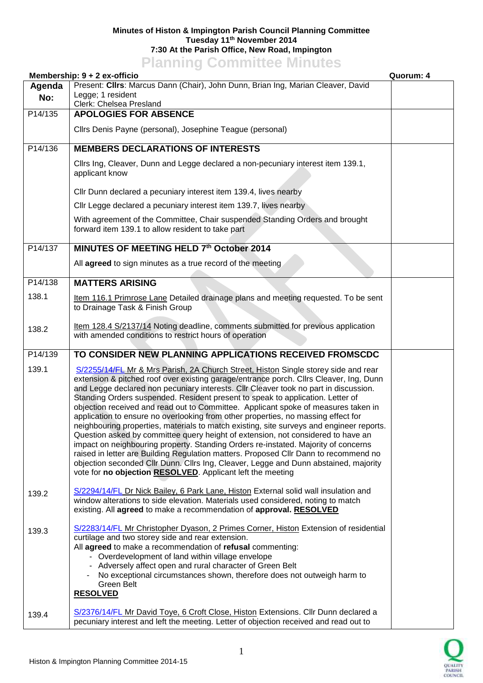## **Minutes of Histon & Impington Parish Council Planning Committee Tuesday 11th November 2014 7:30 At the Parish Office, New Road, Impington Planning Committee Minutes**

|         | <u>E KITHIN SONITHILUS MITHUUS</u><br>Membership: 9 + 2 ex-officio                                                                                                                                                                                                                                                                                                                                                                                                                                                                                                                                                                                                                                                                                                                                                                                                                                                                                                                                                                                            | Quorum: 4 |
|---------|---------------------------------------------------------------------------------------------------------------------------------------------------------------------------------------------------------------------------------------------------------------------------------------------------------------------------------------------------------------------------------------------------------------------------------------------------------------------------------------------------------------------------------------------------------------------------------------------------------------------------------------------------------------------------------------------------------------------------------------------------------------------------------------------------------------------------------------------------------------------------------------------------------------------------------------------------------------------------------------------------------------------------------------------------------------|-----------|
| Agenda  | Present: Clirs: Marcus Dann (Chair), John Dunn, Brian Ing, Marian Cleaver, David                                                                                                                                                                                                                                                                                                                                                                                                                                                                                                                                                                                                                                                                                                                                                                                                                                                                                                                                                                              |           |
| No:     | Legge; 1 resident<br>Clerk: Chelsea Presland                                                                                                                                                                                                                                                                                                                                                                                                                                                                                                                                                                                                                                                                                                                                                                                                                                                                                                                                                                                                                  |           |
| P14/135 | <b>APOLOGIES FOR ABSENCE</b>                                                                                                                                                                                                                                                                                                                                                                                                                                                                                                                                                                                                                                                                                                                                                                                                                                                                                                                                                                                                                                  |           |
|         | Cllrs Denis Payne (personal), Josephine Teague (personal)                                                                                                                                                                                                                                                                                                                                                                                                                                                                                                                                                                                                                                                                                                                                                                                                                                                                                                                                                                                                     |           |
| P14/136 | <b>MEMBERS DECLARATIONS OF INTERESTS</b>                                                                                                                                                                                                                                                                                                                                                                                                                                                                                                                                                                                                                                                                                                                                                                                                                                                                                                                                                                                                                      |           |
|         | Cllrs Ing, Cleaver, Dunn and Legge declared a non-pecuniary interest item 139.1,<br>applicant know                                                                                                                                                                                                                                                                                                                                                                                                                                                                                                                                                                                                                                                                                                                                                                                                                                                                                                                                                            |           |
|         | Cllr Dunn declared a pecuniary interest item 139.4, lives nearby                                                                                                                                                                                                                                                                                                                                                                                                                                                                                                                                                                                                                                                                                                                                                                                                                                                                                                                                                                                              |           |
|         | Cllr Legge declared a pecuniary interest item 139.7, lives nearby                                                                                                                                                                                                                                                                                                                                                                                                                                                                                                                                                                                                                                                                                                                                                                                                                                                                                                                                                                                             |           |
|         | With agreement of the Committee, Chair suspended Standing Orders and brought<br>forward item 139.1 to allow resident to take part                                                                                                                                                                                                                                                                                                                                                                                                                                                                                                                                                                                                                                                                                                                                                                                                                                                                                                                             |           |
| P14/137 | MINUTES OF MEETING HELD 7th October 2014                                                                                                                                                                                                                                                                                                                                                                                                                                                                                                                                                                                                                                                                                                                                                                                                                                                                                                                                                                                                                      |           |
|         | All agreed to sign minutes as a true record of the meeting                                                                                                                                                                                                                                                                                                                                                                                                                                                                                                                                                                                                                                                                                                                                                                                                                                                                                                                                                                                                    |           |
| P14/138 | <b>MATTERS ARISING</b>                                                                                                                                                                                                                                                                                                                                                                                                                                                                                                                                                                                                                                                                                                                                                                                                                                                                                                                                                                                                                                        |           |
| 138.1   | Item 116.1 Primrose Lane Detailed drainage plans and meeting requested. To be sent<br>to Drainage Task & Finish Group                                                                                                                                                                                                                                                                                                                                                                                                                                                                                                                                                                                                                                                                                                                                                                                                                                                                                                                                         |           |
| 138.2   | Item 128.4 S/2137/14 Noting deadline, comments submitted for previous application<br>with amended conditions to restrict hours of operation                                                                                                                                                                                                                                                                                                                                                                                                                                                                                                                                                                                                                                                                                                                                                                                                                                                                                                                   |           |
| P14/139 | TO CONSIDER NEW PLANNING APPLICATIONS RECEIVED FROMSCDC                                                                                                                                                                                                                                                                                                                                                                                                                                                                                                                                                                                                                                                                                                                                                                                                                                                                                                                                                                                                       |           |
| 139.1   | S/2255/14/FL Mr & Mrs Parish, 2A Church Street, Histon Single storey side and rear<br>extension & pitched roof over existing garage/entrance porch. Cllrs Cleaver, Ing, Dunn<br>and Legge declared non pecuniary interests. Cllr Cleaver took no part in discussion.<br>Standing Orders suspended. Resident present to speak to application. Letter of<br>objection received and read out to Committee. Applicant spoke of measures taken in<br>application to ensure no overlooking from other properties, no massing effect for<br>neighbouring properties, materials to match existing, site surveys and engineer reports.<br>Question asked by committee query height of extension, not considered to have an<br>impact on neighbouring property. Standing Orders re-instated. Majority of concerns<br>raised in letter are Building Regulation matters. Proposed Cllr Dann to recommend no<br>objection seconded Cllr Dunn. Cllrs Ing, Cleaver, Legge and Dunn abstained, majority<br>vote for no objection <b>RESOLVED</b> . Applicant left the meeting |           |
| 139.2   | S/2294/14/FL Dr Nick Bailey, 6 Park Lane, Histon External solid wall insulation and<br>window alterations to side elevation. Materials used considered, noting to match<br>existing. All agreed to make a recommendation of approval. RESOLVED                                                                                                                                                                                                                                                                                                                                                                                                                                                                                                                                                                                                                                                                                                                                                                                                                |           |
| 139.3   | S/2283/14/FL Mr Christopher Dyason, 2 Primes Corner, Histon Extension of residential<br>curtilage and two storey side and rear extension.<br>All agreed to make a recommendation of refusal commenting:<br>- Overdevelopment of land within village envelope<br>- Adversely affect open and rural character of Green Belt<br>No exceptional circumstances shown, therefore does not outweigh harm to<br>Green Belt<br><b>RESOLVED</b>                                                                                                                                                                                                                                                                                                                                                                                                                                                                                                                                                                                                                         |           |
|         |                                                                                                                                                                                                                                                                                                                                                                                                                                                                                                                                                                                                                                                                                                                                                                                                                                                                                                                                                                                                                                                               |           |

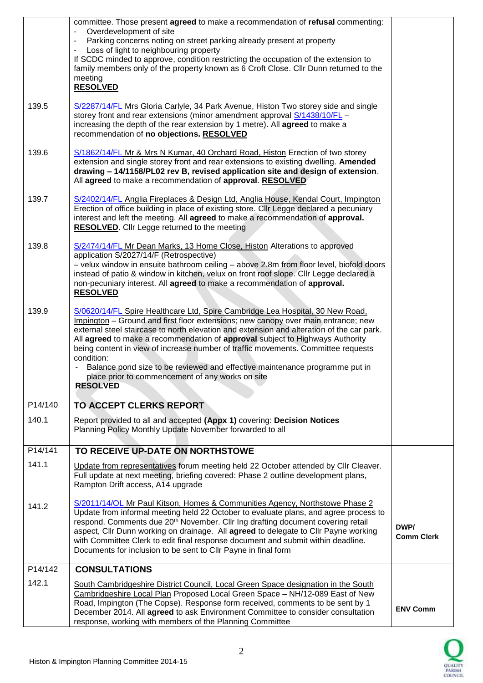|         | committee. Those present agreed to make a recommendation of refusal commenting:<br>Overdevelopment of site<br>Parking concerns noting on street parking already present at property<br>Loss of light to neighbouring property                                                                                                                                                                                                                                                                                                                                                          |                           |
|---------|----------------------------------------------------------------------------------------------------------------------------------------------------------------------------------------------------------------------------------------------------------------------------------------------------------------------------------------------------------------------------------------------------------------------------------------------------------------------------------------------------------------------------------------------------------------------------------------|---------------------------|
|         | If SCDC minded to approve, condition restricting the occupation of the extension to<br>family members only of the property known as 6 Croft Close. Cllr Dunn returned to the<br>meeting<br><b>RESOLVED</b>                                                                                                                                                                                                                                                                                                                                                                             |                           |
| 139.5   | S/2287/14/FL Mrs Gloria Carlyle, 34 Park Avenue, Histon Two storey side and single<br>storey front and rear extensions (minor amendment approval S/1438/10/FL -<br>increasing the depth of the rear extension by 1 metre). All agreed to make a<br>recommendation of no objections. RESOLVED                                                                                                                                                                                                                                                                                           |                           |
| 139.6   | S/1862/14/FL Mr & Mrs N Kumar, 40 Orchard Road, Histon Erection of two storey<br>extension and single storey front and rear extensions to existing dwelling. Amended<br>drawing - 14/1158/PL02 rev B, revised application site and design of extension.<br>All agreed to make a recommendation of approval. RESOLVED                                                                                                                                                                                                                                                                   |                           |
| 139.7   | S/2402/14/FL Anglia Fireplaces & Design Ltd, Anglia House, Kendal Court, Impington<br>Erection of office building in place of existing store. Cllr Legge declared a pecuniary<br>interest and left the meeting. All agreed to make a recommendation of approval.<br>RESOLVED. Cllr Legge returned to the meeting                                                                                                                                                                                                                                                                       |                           |
| 139.8   | S/2474/14/FL Mr Dean Marks, 13 Home Close, Histon Alterations to approved<br>application S/2027/14/F (Retrospective)<br>- velux window in ensuite bathroom ceiling - above 2.8m from floor level, biofold doors<br>instead of patio & window in kitchen, velux on front roof slope. Cllr Legge declared a<br>non-pecuniary interest. All agreed to make a recommendation of approval.<br><b>RESOLVED</b>                                                                                                                                                                               |                           |
| 139.9   | S/0620/14/FL Spire Healthcare Ltd, Spire Cambridge Lea Hospital, 30 New Road,<br>Impington - Ground and first floor extensions; new canopy over main entrance; new<br>external steel staircase to north elevation and extension and alteration of the car park.<br>All agreed to make a recommendation of approval subject to Highways Authority<br>being content in view of increase number of traffic movements. Committee requests<br>condition:<br>Balance pond size to be reviewed and effective maintenance programme put in<br>place prior to commencement of any works on site |                           |
|         | <b>RESOLVED</b>                                                                                                                                                                                                                                                                                                                                                                                                                                                                                                                                                                        |                           |
| P14/140 | <b>TO ACCEPT CLERKS REPORT</b>                                                                                                                                                                                                                                                                                                                                                                                                                                                                                                                                                         |                           |
| 140.1   | Report provided to all and accepted (Appx 1) covering: Decision Notices<br>Planning Policy Monthly Update November forwarded to all                                                                                                                                                                                                                                                                                                                                                                                                                                                    |                           |
| P14/141 | TO RECEIVE UP-DATE ON NORTHSTOWE                                                                                                                                                                                                                                                                                                                                                                                                                                                                                                                                                       |                           |
| 141.1   | Update from representatives forum meeting held 22 October attended by Cllr Cleaver.<br>Full update at next meeting, briefing covered: Phase 2 outline development plans,<br>Rampton Drift access, A14 upgrade                                                                                                                                                                                                                                                                                                                                                                          |                           |
| 141.2   | S/2011/14/OL Mr Paul Kitson, Homes & Communities Agency, Northstowe Phase 2<br>Update from informal meeting held 22 October to evaluate plans, and agree process to<br>respond. Comments due 20 <sup>th</sup> November. Cllr Ing drafting document covering retail<br>aspect, Cllr Dunn working on drainage. All agreed to delegate to Cllr Payne working<br>with Committee Clerk to edit final response document and submit within deadline.<br>Documents for inclusion to be sent to Cllr Payne in final form                                                                        | DWP/<br><b>Comm Clerk</b> |
| P14/142 | <b>CONSULTATIONS</b>                                                                                                                                                                                                                                                                                                                                                                                                                                                                                                                                                                   |                           |
| 142.1   | South Cambridgeshire District Council, Local Green Space designation in the South<br>Cambridgeshire Local Plan Proposed Local Green Space - NH/12-089 East of New<br>Road, Impington (The Copse). Response form received, comments to be sent by 1<br>December 2014. All agreed to ask Environment Committee to consider consultation<br>response, working with members of the Planning Committee                                                                                                                                                                                      | <b>ENV Comm</b>           |